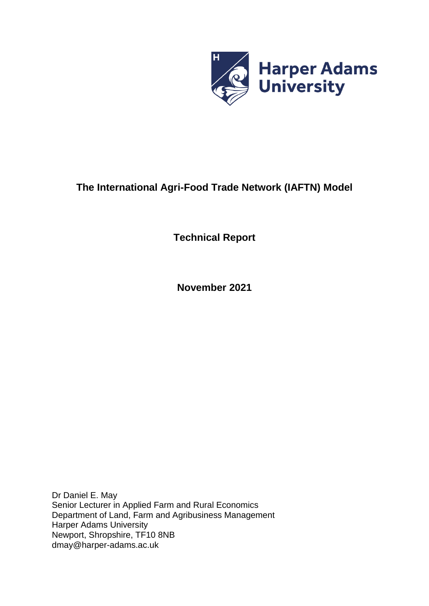

# **The International Agri-Food Trade Network (IAFTN) Model**

**Technical Report**

**November 2021**

Dr Daniel E. May Senior Lecturer in Applied Farm and Rural Economics Department of Land, Farm and Agribusiness Management Harper Adams University Newport, Shropshire, TF10 8NB dmay@harper-adams.ac.uk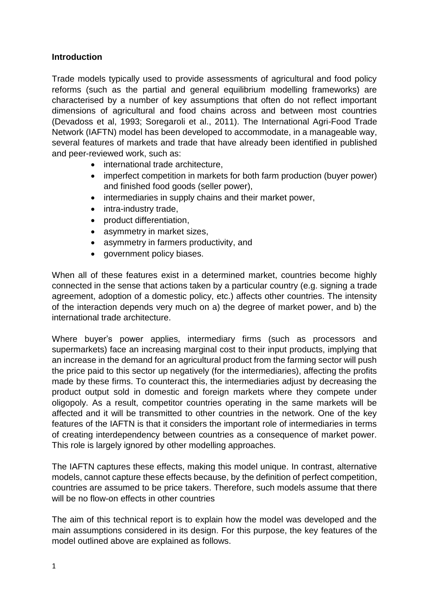### **Introduction**

Trade models typically used to provide assessments of agricultural and food policy reforms (such as the partial and general equilibrium modelling frameworks) are characterised by a number of key assumptions that often do not reflect important dimensions of agricultural and food chains across and between most countries (Devadoss et al, 1993; Soregaroli et al., 2011). The International Agri-Food Trade Network (IAFTN) model has been developed to accommodate, in a manageable way, several features of markets and trade that have already been identified in published and peer-reviewed work, such as:

- international trade architecture,
- imperfect competition in markets for both farm production (buyer power) and finished food goods (seller power),
- intermediaries in supply chains and their market power,
- intra-industry trade,
- product differentiation,
- asymmetry in market sizes,
- asymmetry in farmers productivity, and
- government policy biases.

When all of these features exist in a determined market, countries become highly connected in the sense that actions taken by a particular country (e.g. signing a trade agreement, adoption of a domestic policy, etc.) affects other countries. The intensity of the interaction depends very much on a) the degree of market power, and b) the international trade architecture.

Where buyer's power applies, intermediary firms (such as processors and supermarkets) face an increasing marginal cost to their input products, implying that an increase in the demand for an agricultural product from the farming sector will push the price paid to this sector up negatively (for the intermediaries), affecting the profits made by these firms. To counteract this, the intermediaries adjust by decreasing the product output sold in domestic and foreign markets where they compete under oligopoly. As a result, competitor countries operating in the same markets will be affected and it will be transmitted to other countries in the network. One of the key features of the IAFTN is that it considers the important role of intermediaries in terms of creating interdependency between countries as a consequence of market power. This role is largely ignored by other modelling approaches.

The IAFTN captures these effects, making this model unique. In contrast, alternative models, cannot capture these effects because, by the definition of perfect competition, countries are assumed to be price takers. Therefore, such models assume that there will be no flow-on effects in other countries

The aim of this technical report is to explain how the model was developed and the main assumptions considered in its design. For this purpose, the key features of the model outlined above are explained as follows.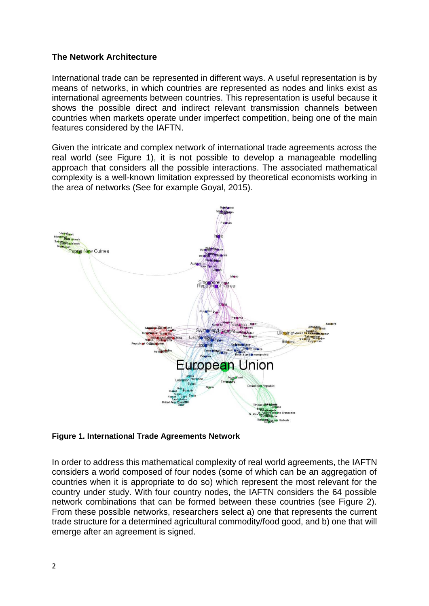#### **The Network Architecture**

International trade can be represented in different ways. A useful representation is by means of networks, in which countries are represented as nodes and links exist as international agreements between countries. This representation is useful because it shows the possible direct and indirect relevant transmission channels between countries when markets operate under imperfect competition, being one of the main features considered by the IAFTN.

Given the intricate and complex network of international trade agreements across the real world (see Figure 1), it is not possible to develop a manageable modelling approach that considers all the possible interactions. The associated mathematical complexity is a well-known limitation expressed by theoretical economists working in the area of networks (See for example Goyal, 2015).



**Figure 1. International Trade Agreements Network** 

In order to address this mathematical complexity of real world agreements, the IAFTN considers a world composed of four nodes (some of which can be an aggregation of countries when it is appropriate to do so) which represent the most relevant for the country under study. With four country nodes, the IAFTN considers the 64 possible network combinations that can be formed between these countries (see Figure 2). From these possible networks, researchers select a) one that represents the current trade structure for a determined agricultural commodity/food good, and b) one that will emerge after an agreement is signed.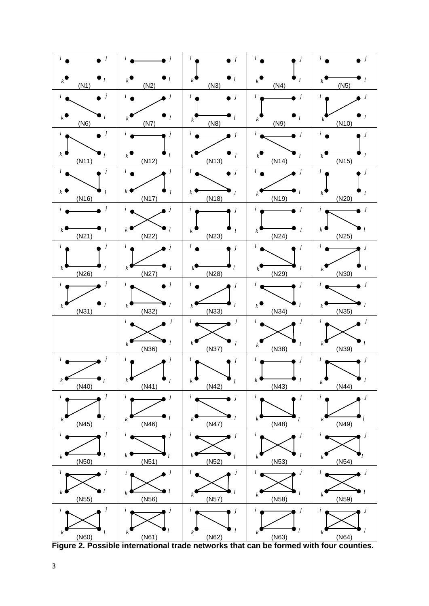| j                                                                         |                                                            | i<br>$\dot{J}$                                     | $\dot{J}$<br>i                                                   | $\dot{J}$<br>i                                                    |
|---------------------------------------------------------------------------|------------------------------------------------------------|----------------------------------------------------|------------------------------------------------------------------|-------------------------------------------------------------------|
| $\bullet_l$<br>$k$ <sup><math>\overline{\phantom{a}}</math></sup><br>(N1) | $\bullet$ <sub>l</sub><br>$k^{\blacktriangleleft}$<br>(N2) | $\bullet$ <sub>l</sub><br>$\boldsymbol{k}$<br>(N3) | l<br>k<br>(N4)                                                   | $\boldsymbol{k}$<br>(N5)                                          |
| $\ensuremath{\boldsymbol{j}}$<br>i                                        | $\dot{i}$<br>j                                             | $\dot{i}$<br>$\overline{\phantom{a}}$              | $\dot{i}$<br>j                                                   | $\dot{i}$<br>j                                                    |
| $k^{\bullet}$<br>$\iota$<br>(N6)                                          | $\iota$<br>$\boldsymbol{k}$<br>(N7)                        | l<br>$\boldsymbol{k}$<br>(N8)                      | l<br>k<br>(N9)                                                   | k<br>(N10)                                                        |
| $\ddot{i}$<br>j                                                           | j<br>i                                                     | i<br>$\dot{J}$                                     | i                                                                |                                                                   |
| k<br>$\iota$<br>(N11)                                                     | l<br>$k^{\bullet}$<br>(N12)                                | l<br>$\boldsymbol{k}$<br>(N13)                     | k<br>$\iota$<br>(N14)                                            | $\boldsymbol{k}$<br>(N15)                                         |
| $\dot{J}$<br>$\dot{i}$                                                    | $\ddot{i}$<br>j                                            | $\ddot{i}$<br>$\dot{j}$                            | i                                                                | $\ddot{i}$                                                        |
| k<br>l<br>(N16)                                                           | $\boldsymbol{k}$<br>l<br>(N17)                             | k<br>(N18)                                         | (N19)                                                            | k<br>(N20)                                                        |
| j<br>i                                                                    | $\dot{i}$                                                  | $\dot{i}$<br>j                                     | i<br>Ĵ                                                           | i<br>İ                                                            |
| $\mathfrak l$<br>(N21)                                                    | $k^{\prime}$<br>$\iota$<br>(N22)                           | $\boldsymbol{k}$<br>l<br>(N23)                     | $\iota$<br>$\boldsymbol{k}$<br>(N24)                             | k<br>(N25)                                                        |
| i                                                                         |                                                            | i<br>$\dot{J}$                                     | i                                                                |                                                                   |
| $\boldsymbol{k}$<br>l<br>(N26)                                            | $\boldsymbol{k}$<br>$\mathfrak{l}$<br>(N27)                | $^{\prime}$ l<br>k<br>(N28)                        | l<br>k<br>(N29)                                                  | k<br>(N30)                                                        |
| i<br>j                                                                    | i<br>j                                                     | $\dot{i}$                                          |                                                                  |                                                                   |
| l<br>$\boldsymbol{k}$<br>(N31)                                            | $\boldsymbol{k}$<br>(N32)                                  | $\iota$<br>$\boldsymbol{k}$<br>(N33)               | l<br>$k$ <sup><math>\overline{\phantom{a}}</math></sup><br>(N34) | $\boldsymbol{k}$<br>(N35)                                         |
|                                                                           | j<br>i                                                     | j<br>$\ddot{i}$                                    | j<br>i                                                           |                                                                   |
|                                                                           | k<br>(N36)                                                 | $k^{\prime}$<br>l<br>(N37)                         | l<br>k<br>(N38)                                                  | $\boldsymbol{k}$<br>(N39)                                         |
|                                                                           |                                                            | i                                                  | i<br>j                                                           | i                                                                 |
| $\bullet$ <sub>l</sub><br>$k \in$<br>(N40)                                | k<br>l<br>(N41)                                            | $k^{\bullet}$<br>$\iota$<br>(N42)                  | l<br>$\boldsymbol{k}$<br>(N43)                                   | $\mathbf{L}$<br>$k$ <sup><math>\blacksquare</math></sup><br>(N44) |
| $\ensuremath{\boldsymbol{j}}$<br>$\ddot{i}$                               | $\dot{i}$                                                  | i<br>$\dot{J}$                                     | $\dot{i}$<br>j                                                   | i<br>j                                                            |
| l<br>k<br>(N45)                                                           | $\iota$<br>$\boldsymbol{k}$<br>(N46)                       | $\iota$<br>$\boldsymbol{k}$<br>(N47)               | k<br>l<br>(N48)                                                  | k<br>(N49)                                                        |
| $\boldsymbol{j}$<br>$\dot{i}$                                             | i<br>j                                                     | $\dot{i}$<br>j                                     | $\dot{i}$<br>$\boldsymbol{j}$                                    | $\dot{i}$                                                         |
| k<br>(N50)                                                                | $\boldsymbol{k}$<br>l<br>(N51)                             | k<br>$\iota$<br>(N52)                              | $\iota$<br>$\boldsymbol{k}$<br>(N53)                             | $\boldsymbol{k}$<br>(N54)                                         |
| $\dot{i}$<br>j                                                            | Ĵ<br>i                                                     | $\dot{i}$<br>j                                     | i<br>Ĵ                                                           | i<br>Ĵ                                                            |
| $\iota$<br>$\boldsymbol{k}$<br>(N55)                                      | $\boldsymbol{k}$<br>(N56)                                  | $\iota$<br>$\boldsymbol{k}$<br>(N57)               | l<br>k<br>(N58)                                                  | $\boldsymbol{k}$<br>(N59)                                         |
| $\boldsymbol{j}$<br>$\dot{i}$                                             | i<br>j                                                     | i<br>j                                             | i<br>Ĵ                                                           | i                                                                 |
| $\boldsymbol{k}$<br>l<br>(N60)                                            | $\boldsymbol{k}$<br>(N61)                                  | $\iota$<br>$\boldsymbol{k}$<br>(N62)               | $\mathbf{k}$<br>(N63)                                            | $\boldsymbol{k}$<br>(N64)                                         |

**Figure 2. Possible international trade networks that can be formed with four counties.**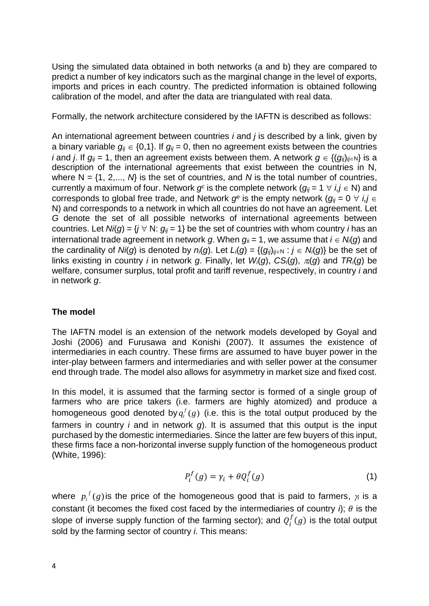Using the simulated data obtained in both networks (a and b) they are compared to predict a number of key indicators such as the marginal change in the level of exports, imports and prices in each country. The predicted information is obtained following calibration of the model, and after the data are triangulated with real data.

Formally, the network architecture considered by the IAFTN is described as follows:

An international agreement between countries *i* and *j* is described by a link, given by a binary variable  $q_{ii} \in \{0,1\}$ . If  $q_{ii} = 0$ , then no agreement exists between the countries *i* and *i*. If  $g_{ii} = 1$ , then an agreement exists between them. A network  $g \in \{ (g_{ii})_{ii \in \mathbb{N}} \}$  is a description of the international agreements that exist between the countries in N, where  $N = \{1, 2,..., N\}$  is the set of countries, and *N* is the total number of countries, currently a maximum of four. Network  $g^c$  is the complete network  $(g_{ij} = 1 \ \forall \ i, j \in \mathbb{N})$  and corresponds to global free trade, and Network  $g^e$  is the empty network  $(g_{ij} = 0 \forall i, j \in$ N) and corresponds to a network in which all countries do not have an agreement. Let *G* denote the set of all possible networks of international agreements between countries. Let  $N/(g) = \{j \vee N: g_{ij} = 1\}$  be the set of countries with whom country *i* has an international trade agreement in network *g*. When  $g_{ii} = 1$ , we assume that  $i \in N_i(q)$  and the cardinality of *Ni*(*g*) is denoted by  $n_i(g)$ . Let  $L_i(g) = \{(q_{ii})_{ii \in N} : j \in N_i(g)\}$  be the set of links existing in country *i* in network *g*. Finally, let  $W_i(g)$ ,  $CS_i(g)$ ,  $\pi_i(g)$  and  $TR_i(g)$  be welfare, consumer surplus, total profit and tariff revenue, respectively, in country *i* and in network *g*.

## **The model**

The IAFTN model is an extension of the network models developed by Goyal and Joshi (2006) and Furusawa and Konishi (2007). It assumes the existence of intermediaries in each country. These firms are assumed to have buyer power in the inter-play between farmers and intermediaries and with seller power at the consumer end through trade. The model also allows for asymmetry in market size and fixed cost.

In this model, it is assumed that the farming sector is formed of a single group of farmers who are price takers (i.e. farmers are highly atomized) and produce a homogeneous good denoted by  $q_i^f(g)$  $i$ <sup>f</sup> $(g)$  (i.e. this is the total output produced by the farmers in country *i* and in network *g*). It is assumed that this output is the input purchased by the domestic intermediaries. Since the latter are few buyers of this input, these firms face a non-horizontal inverse supply function of the homogeneous product (White, 1996):

$$
P_i^f(g) = \gamma_i + \theta Q_i^f(g) \tag{1}
$$

where  $p_i^f(g)$  $i$ <sup>t</sup> $(g)$  is the price of the homogeneous good that is paid to farmers,  $\gamma$  is a constant (it becomes the fixed cost faced by the intermediaries of country  $\hat{\eta}$ ;  $\theta$  is the slope of inverse supply function of the farming sector); and  $Q_i^f(g)$  is the total output sold by the farming sector of country *i*. This means: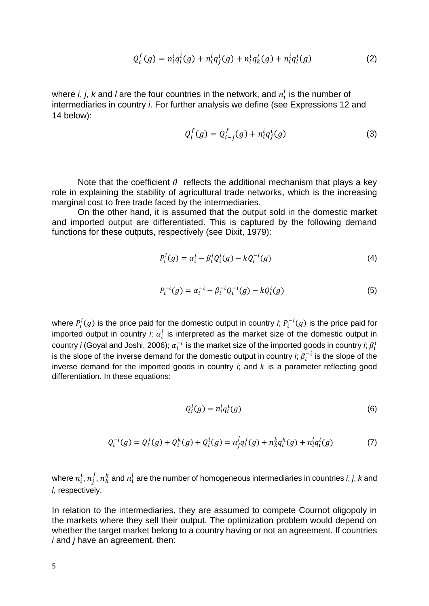$$
Q_i^f(g) = n_i^i q_i^i(g) + n_i^i q_j^i(g) + n_i^i q_k^i(g) + n_i^i q_i^i(g)
$$
 (2)

where *i*, *j*, *k* and *l* are the four countries in the network, and  $n_i^i$  is the number of intermediaries in country *i*. For further analysis we define (see Expressions 12 and 14 below):

$$
Q_i^f(g) = Q_{i-j}^f(g) + n_i^i q_j^i(g)
$$
 (3)

Note that the coefficient  $\theta$  reflects the additional mechanism that plays a key role in explaining the stability of agricultural trade networks, which is the increasing marginal cost to free trade faced by the intermediaries.

On the other hand, it is assumed that the output sold in the domestic market and imported output are differentiated. This is captured by the following demand functions for these outputs, respectively (see Dixit, 1979):

$$
P_i^i(g) = \alpha_i^i - \beta_i^i Q_i^i(g) - k Q_i^{-i}(g)
$$
\n(4)

$$
P_i^{-i}(g) = \alpha_i^{-i} - \beta_i^{-i} Q_i^{-i}(g) - k Q_i^{i}(g)
$$
 (5)

where  $P_i^i(g)$  is the price paid for the domestic output in country *i*;  $P_i^{-i}(g)$  is the price paid for imported output in country *i*;  $\alpha_i^i$  is interpreted as the market size of the domestic output in country *i* (Goyal and Joshi, 2006);  $\alpha_i^{-i}$  is the market size of the imported goods in country *i*;  $\beta_i^i$ is the slope of the inverse demand for the domestic output in country *i*;  $\beta_i^{-i}$  is the slope of the inverse demand for the imported goods in country  $\ddot{r}$ , and  $\ddot{k}$  is a parameter reflecting good differentiation. In these equations:

$$
Q_i^i(g) = n_i^i q_i^i(g) \tag{6}
$$

$$
Q_i^{-i}(g) = Q_i^j(g) + Q_i^k(g) + Q_i^l(g) = n_j^j q_i^j(g) + n_k^k q_i^k(g) + n_l^l q_i^l(g)
$$
(7)

where  $n_i^i,\,n_j^j,\,n_k^k$  and  $n_i^l$  are the number of homogeneous intermediaries in countries *i*, *j*, *k* and *l*, respectively.

In relation to the intermediaries, they are assumed to compete Cournot oligopoly in the markets where they sell their output. The optimization problem would depend on whether the target market belong to a country having or not an agreement. If countries *i* and *j* have an agreement, then: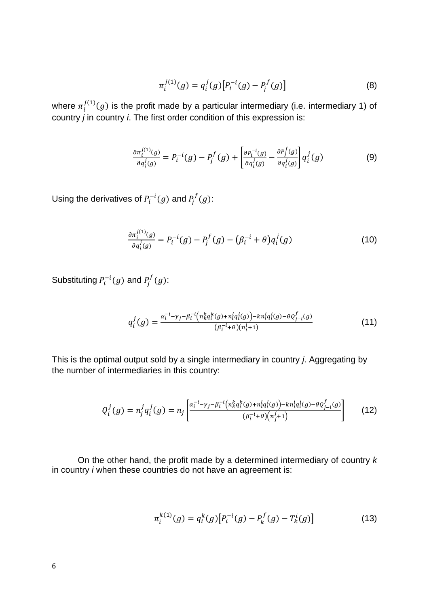$$
\pi_i^{j(1)}(g) = q_i^j(g) [P_i^{-i}(g) - P_j^f(g)] \tag{8}
$$

where  $\pi_i^{j(1)}(g)$  is the profit made by a particular intermediary (i.e. intermediary 1) of country *j* in country *i*. The first order condition of this expression is:

$$
\frac{\partial \pi_i^{j(1)}(g)}{\partial q_i^j(g)} = P_i^{-i}(g) - P_j^f(g) + \left[ \frac{\partial P_i^{-i}(g)}{\partial q_i^j(g)} - \frac{\partial P_j^f(g)}{\partial q_i^j(g)} \right] q_i^j(g) \tag{9}
$$

Using the derivatives of  $P_i^{-i}(g)$  and  $P_j^{f}(g)$ :

$$
\frac{\partial \pi_i^{j(1)}(g)}{\partial q_i^j(g)} = P_i^{-i}(g) - P_j^f(g) - (\beta_i^{-i} + \theta) q_i^j(g)
$$
\n(10)

Substituting  $P_i^{-i}(g)$  and  $P_j^{f}(g)$ :

$$
q_i^j(g) = \frac{\alpha_i^{-i} - \gamma_j - \beta_i^{-i} \left( n_k^k q_i^k(g) + n_i^l q_i^l(g) \right) - k n_i^l q_i^i(g) - \theta \varrho_{j-i}^f(g)}{(\beta_i^{-i} + \theta)(n_i^i + 1)}
$$
(11)

This is the optimal output sold by a single intermediary in country *j*. Aggregating by the number of intermediaries in this country:

$$
Q_i^j(g) = n_j^j q_i^j(g) = n_j \left[ \frac{\alpha_i^{-i} - \gamma_j - \beta_i^{-i} \left( n_k^k q_i^k(g) + n_i^l q_i^l(g) \right) - k n_i^l q_i^i(g) - \theta q_{j-i}^f(g)}{(\beta_i^{-i} + \theta) \left( n_j^j + 1 \right)} \right] \tag{12}
$$

On the other hand, the profit made by a determined intermediary of country *k* in country *i* when these countries do not have an agreement is:

$$
\pi_i^{k(1)}(g) = q_i^k(g) \left[ P_i^{-i}(g) - P_k^f(g) - T_k^i(g) \right] \tag{13}
$$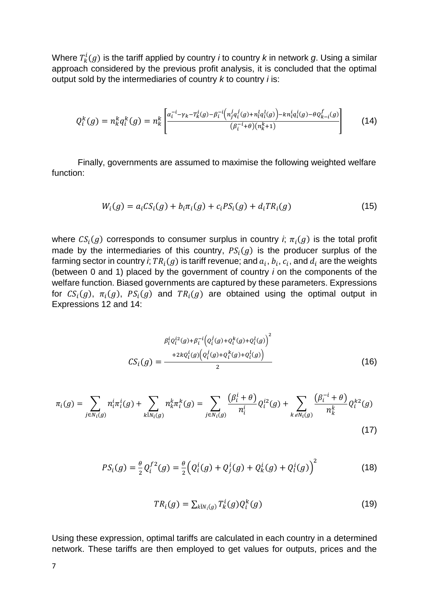Where  $T_k^i(g)$  is the tariff applied by country *i* to country *k* in network  $g$ . Using a similar approach considered by the previous profit analysis, it is concluded that the optimal output sold by the intermediaries of country *k* to country *i* is:

$$
Q_i^k(g) = n_k^k q_i^k(g) = n_k^k \left[ \frac{\alpha_i^{-i} - \gamma_k - n_k^i(g) - \beta_i^{-i} \left( n_j^j q_i^j(g) + n_l^l q_i^l(g) \right) - k n_i^l q_i^i(g) - \theta Q_{k-i}^f(g)}{(\beta_i^{-i} + \theta)(n_k^k + 1)} \right] \tag{14}
$$

Finally, governments are assumed to maximise the following weighted welfare function:

$$
W_i(g) = a_i CS_i(g) + b_i \pi_i(g) + c_i PS_i(g) + d_i TR_i(g)
$$
\n(15)

where  $\mathit{CS}_i(g)$  corresponds to consumer surplus in country *i*;  $\pi_i(g)$  is the total profit made by the intermediaries of this country,  $PS<sub>i</sub>(g)$  is the producer surplus of the farming sector in country *i*;  $TR_i(g)$  is tariff revenue; and  $a_i$ ,  $b_i$ ,  $c_i$ , and  $d_i$  are the weights (between 0 and 1) placed by the government of country *i* on the components of the welfare function. Biased governments are captured by these parameters. Expressions for  $CS_i(g)$ ,  $\pi_i(g)$ ,  $PS_i(g)$  and  $TR_i(g)$  are obtained using the optimal output in Expressions 12 and 14:

$$
B_i^i Q_i^{i2}(g) + B_i^{-i} (Q_i^j(g) + Q_i^k(g) + Q_i^l(g))^{2}
$$
  

$$
CS_i(g) = \frac{+2kQ_i^i(g)(Q_i^j(g) + Q_i^k(g) + Q_i^l(g))}{2}
$$
 (16)

$$
\pi_i(g) = \sum_{j \in N_i(g)} n_i^i \pi_i^i(g) + \sum_{k \in N_i(g)} n_k^k \pi_i^k(g) = \sum_{j \in N_i(g)} \frac{(\beta_i^i + \theta)}{n_i^i} Q_i^{i2}(g) + \sum_{k \in N_i(g)} \frac{(\beta_i^{-i} + \theta)}{n_k^k} Q_i^{k2}(g)
$$
\n(17)

$$
PS_i(g) = \frac{\theta}{2} Q_i^{f2}(g) = \frac{\theta}{2} \Big( Q_i^i(g) + Q_j^i(g) + Q_k^i(g) + Q_l^i(g) \Big)^2 \tag{18}
$$

$$
TR_i(g) = \sum_{k \in N_i(g)} T_k^i(g) Q_i^k(g)
$$
\n(19)

Using these expression, optimal tariffs are calculated in each country in a determined network. These tariffs are then employed to get values for outputs, prices and the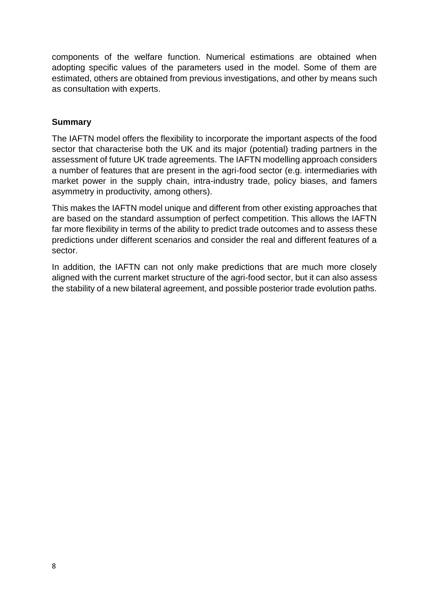components of the welfare function. Numerical estimations are obtained when adopting specific values of the parameters used in the model. Some of them are estimated, others are obtained from previous investigations, and other by means such as consultation with experts.

## **Summary**

The IAFTN model offers the flexibility to incorporate the important aspects of the food sector that characterise both the UK and its major (potential) trading partners in the assessment of future UK trade agreements. The IAFTN modelling approach considers a number of features that are present in the agri-food sector (e.g. intermediaries with market power in the supply chain, intra-industry trade, policy biases, and famers asymmetry in productivity, among others).

This makes the IAFTN model unique and different from other existing approaches that are based on the standard assumption of perfect competition. This allows the IAFTN far more flexibility in terms of the ability to predict trade outcomes and to assess these predictions under different scenarios and consider the real and different features of a sector.

In addition, the IAFTN can not only make predictions that are much more closely aligned with the current market structure of the agri-food sector, but it can also assess the stability of a new bilateral agreement, and possible posterior trade evolution paths.